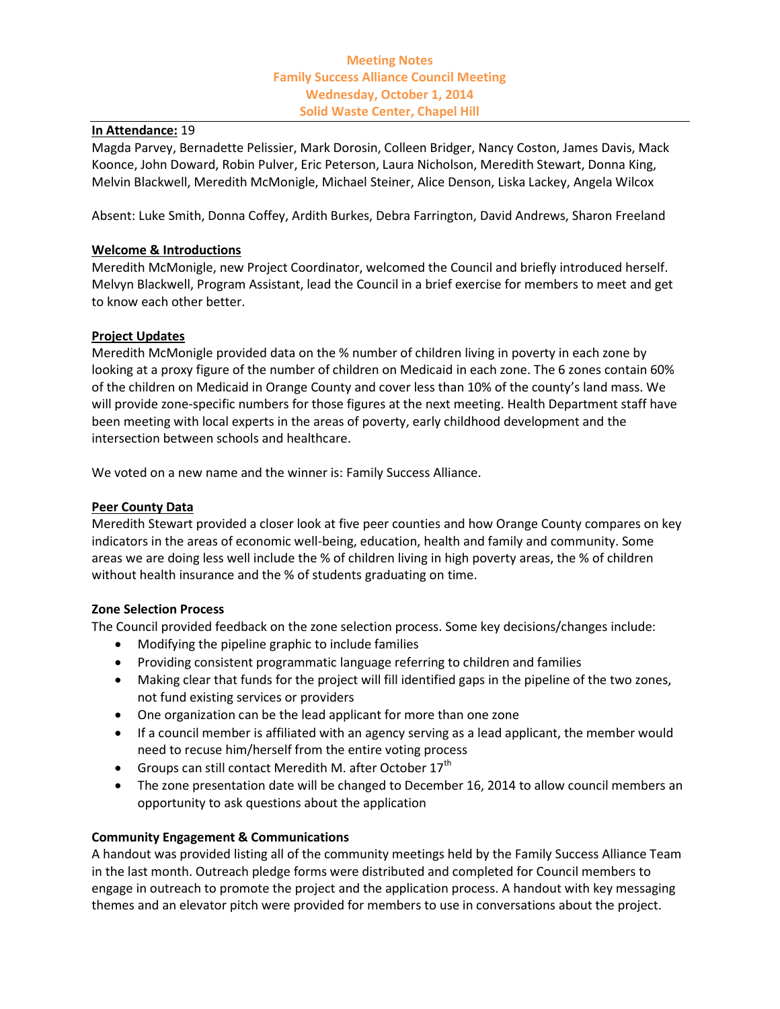# **Meeting Notes Family Success Alliance Council Meeting Wednesday, October 1, 2014 Solid Waste Center, Chapel Hill**

#### **In Attendance:** 19

Magda Parvey, Bernadette Pelissier, Mark Dorosin, Colleen Bridger, Nancy Coston, James Davis, Mack Koonce, John Doward, Robin Pulver, Eric Peterson, Laura Nicholson, Meredith Stewart, Donna King, Melvin Blackwell, Meredith McMonigle, Michael Steiner, Alice Denson, Liska Lackey, Angela Wilcox

Absent: Luke Smith, Donna Coffey, Ardith Burkes, Debra Farrington, David Andrews, Sharon Freeland

## **Welcome & Introductions**

Meredith McMonigle, new Project Coordinator, welcomed the Council and briefly introduced herself. Melvyn Blackwell, Program Assistant, lead the Council in a brief exercise for members to meet and get to know each other better.

### **Project Updates**

Meredith McMonigle provided data on the % number of children living in poverty in each zone by looking at a proxy figure of the number of children on Medicaid in each zone. The 6 zones contain 60% of the children on Medicaid in Orange County and cover less than 10% of the county's land mass. We will provide zone-specific numbers for those figures at the next meeting. Health Department staff have been meeting with local experts in the areas of poverty, early childhood development and the intersection between schools and healthcare.

We voted on a new name and the winner is: Family Success Alliance.

### **Peer County Data**

Meredith Stewart provided a closer look at five peer counties and how Orange County compares on key indicators in the areas of economic well-being, education, health and family and community. Some areas we are doing less well include the % of children living in high poverty areas, the % of children without health insurance and the % of students graduating on time.

### **Zone Selection Process**

The Council provided feedback on the zone selection process. Some key decisions/changes include:

- Modifying the pipeline graphic to include families
- Providing consistent programmatic language referring to children and families
- Making clear that funds for the project will fill identified gaps in the pipeline of the two zones, not fund existing services or providers
- One organization can be the lead applicant for more than one zone
- If a council member is affiliated with an agency serving as a lead applicant, the member would need to recuse him/herself from the entire voting process
- Groups can still contact Meredith M. after October  $17<sup>th</sup>$
- The zone presentation date will be changed to December 16, 2014 to allow council members an opportunity to ask questions about the application

### **Community Engagement & Communications**

A handout was provided listing all of the community meetings held by the Family Success Alliance Team in the last month. Outreach pledge forms were distributed and completed for Council members to engage in outreach to promote the project and the application process. A handout with key messaging themes and an elevator pitch were provided for members to use in conversations about the project.